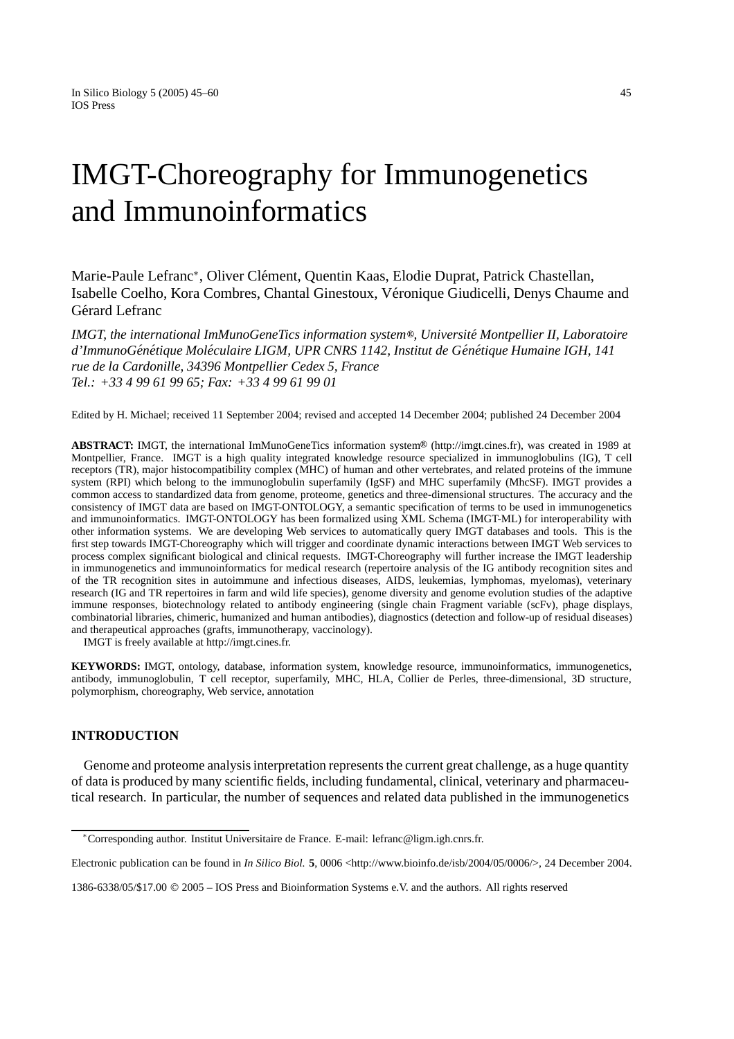# IMGT-Choreography for Immunogenetics and Immunoinformatics

Marie-Paule Lefranc<sup>∗</sup>, Oliver Clément, Quentin Kaas, Elodie Duprat, Patrick Chastellan, Isabelle Coelho, Kora Combres, Chantal Ginestoux, Veronique Giudicelli, Denys Chaume and ´ Gérard Lefranc

*IMGT, the international ImMunoGeneTics information system , Universite Montpellier II, Laboratoire ´ d'ImmunoGen´ etique Mol ´ eculaire LIGM, UPR CNRS 1142, Institut de G ´ en´ etique Humaine IGH, 141 ´ rue de la Cardonille, 34396 Montpellier Cedex 5, France Tel.: +33 4 99 61 99 65; Fax: +33 4 99 61 99 01*

Edited by H. Michael; received 11 September 2004; revised and accepted 14 December 2004; published 24 December 2004

**ABSTRACT:** IMGT, the international ImMunoGeneTics information system<sup>®</sup> (http://imgt.cines.fr), was created in 1989 at Montpellier, France. IMGT is a high quality integrated knowledge resource specialized in immunoglobulins (IG), T cell receptors (TR), major histocompatibility complex (MHC) of human and other vertebrates, and related proteins of the immune system (RPI) which belong to the immunoglobulin superfamily (IgSF) and MHC superfamily (MhcSF). IMGT provides a common access to standardized data from genome, proteome, genetics and three-dimensional structures. The accuracy and the consistency of IMGT data are based on IMGT-ONTOLOGY, a semantic specification of terms to be used in immunogenetics and immunoinformatics. IMGT-ONTOLOGY has been formalized using XML Schema (IMGT-ML) for interoperability with other information systems. We are developing Web services to automatically query IMGT databases and tools. This is the first step towards IMGT-Choreography which will trigger and coordinate dynamic interactions between IMGT Web services to process complex significant biological and clinical requests. IMGT-Choreography will further increase the IMGT leadership in immunogenetics and immunoinformatics for medical research (repertoire analysis of the IG antibody recognition sites and of the TR recognition sites in autoimmune and infectious diseases, AIDS, leukemias, lymphomas, myelomas), veterinary research (IG and TR repertoires in farm and wild life species), genome diversity and genome evolution studies of the adaptive immune responses, biotechnology related to antibody engineering (single chain Fragment variable (scFv), phage displays, combinatorial libraries, chimeric, humanized and human antibodies), diagnostics (detection and follow-up of residual diseases) and therapeutical approaches (grafts, immunotherapy, vaccinology).

IMGT is freely available at http://imgt.cines.fr.

**KEYWORDS:** IMGT, ontology, database, information system, knowledge resource, immunoinformatics, immunogenetics, antibody, immunoglobulin, T cell receptor, superfamily, MHC, HLA, Collier de Perles, three-dimensional, 3D structure, polymorphism, choreography, Web service, annotation

# **INTRODUCTION**

Genome and proteome analysis interpretation represents the current great challenge, as a huge quantity of data is produced by many scientific fields, including fundamental, clinical, veterinary and pharmaceutical research. In particular, the number of sequences and related data published in the immunogenetics

<sup>∗</sup>Corresponding author. Institut Universitaire de France. E-mail: lefranc@ligm.igh.cnrs.fr.

Electronic publication can be found in *In Silico Biol.* **5**, 0006 <http://www.bioinfo.de/isb/2004/05/0006/>, 24 December 2004.

<sup>1386-6338/05/\$17.00</sup> © 2005 – IOS Press and Bioinformation Systems e.V. and the authors. All rights reserved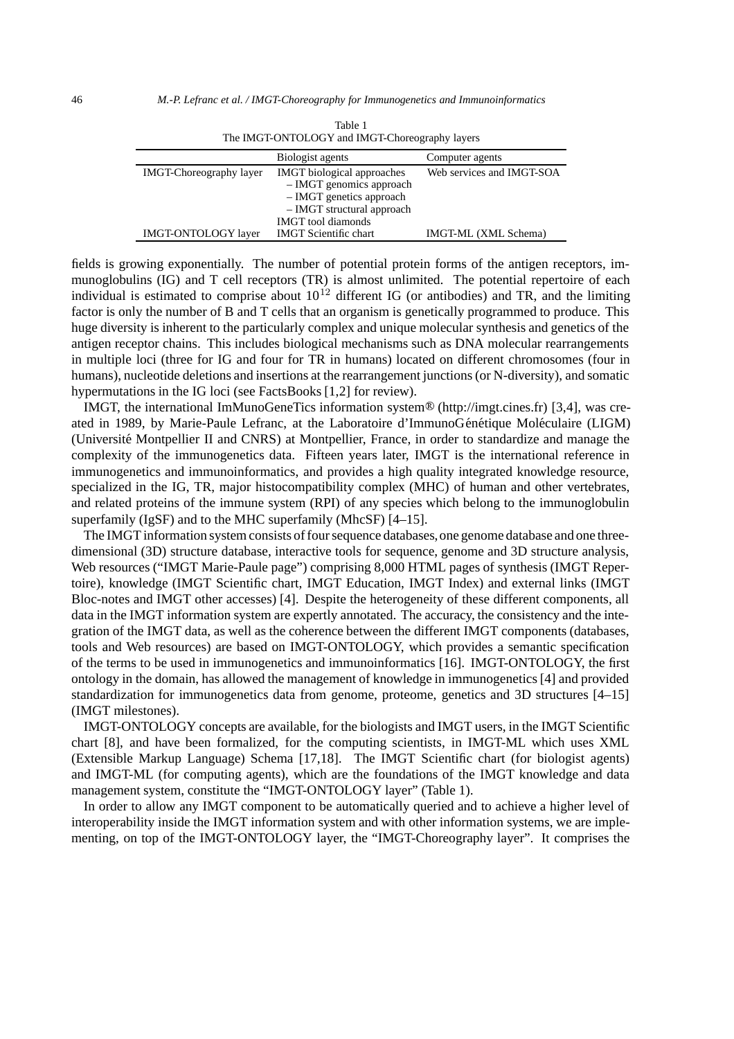|                                | THE INFORMATOLOGY & and INFORMATION CONTRACTS                                                                                                          |                           |  |
|--------------------------------|--------------------------------------------------------------------------------------------------------------------------------------------------------|---------------------------|--|
|                                | Biologist agents                                                                                                                                       | Computer agents           |  |
| <b>IMGT-Choreography layer</b> | <b>IMGT</b> biological approaches<br>$-$ IMGT genomics approach<br>- IMGT genetics approach<br>- IMGT structural approach<br><b>IMGT</b> tool diamonds | Web services and IMGT-SOA |  |
| <b>IMGT-ONTOLOGY</b> layer     | <b>IMGT</b> Scientific chart                                                                                                                           | IMGT-ML (XML Schema)      |  |

| Table 1                                        |
|------------------------------------------------|
| The IMGT-ONTOLOGY and IMGT-Choreography layers |

fields is growing exponentially. The number of potential protein forms of the antigen receptors, immunoglobulins (IG) and T cell receptors (TR) is almost unlimited. The potential repertoire of each individual is estimated to comprise about  $10^{12}$  different IG (or antibodies) and TR, and the limiting factor is only the number of B and T cells that an organism is genetically programmed to produce. This huge diversity is inherent to the particularly complex and unique molecular synthesis and genetics of the antigen receptor chains. This includes biological mechanisms such as DNA molecular rearrangements in multiple loci (three for IG and four for TR in humans) located on different chromosomes (four in humans), nucleotide deletions and insertions at the rearrangement junctions (or N-diversity), and somatic hypermutations in the IG loci (see FactsBooks [1,2] for review).

IMGT, the international ImMunoGeneTics information system (http://imgt.cines.fr) [3,4], was created in 1989, by Marie-Paule Lefranc, at the Laboratoire d'ImmunoGénétique Moléculaire (LIGM) (Universite Montpellier II and CNRS) at Montpellier, France, in order to standardize and manage the ´ complexity of the immunogenetics data. Fifteen years later, IMGT is the international reference in immunogenetics and immunoinformatics, and provides a high quality integrated knowledge resource, specialized in the IG, TR, major histocompatibility complex (MHC) of human and other vertebrates, and related proteins of the immune system (RPI) of any species which belong to the immunoglobulin superfamily (IgSF) and to the MHC superfamily (MhcSF) [4–15].

The IMGT information system consists of four sequence databases, one genome database and one threedimensional (3D) structure database, interactive tools for sequence, genome and 3D structure analysis, Web resources ("IMGT Marie-Paule page") comprising 8,000 HTML pages of synthesis (IMGT Repertoire), knowledge (IMGT Scientific chart, IMGT Education, IMGT Index) and external links (IMGT Bloc-notes and IMGT other accesses) [4]. Despite the heterogeneity of these different components, all data in the IMGT information system are expertly annotated. The accuracy, the consistency and the integration of the IMGT data, as well as the coherence between the different IMGT components (databases, tools and Web resources) are based on IMGT-ONTOLOGY, which provides a semantic specification of the terms to be used in immunogenetics and immunoinformatics [16]. IMGT-ONTOLOGY, the first ontology in the domain, has allowed the management of knowledge in immunogenetics [4] and provided standardization for immunogenetics data from genome, proteome, genetics and 3D structures [4–15] (IMGT milestones).

IMGT-ONTOLOGY concepts are available, for the biologists and IMGT users, in the IMGT Scientific chart [8], and have been formalized, for the computing scientists, in IMGT-ML which uses XML (Extensible Markup Language) Schema [17,18]. The IMGT Scientific chart (for biologist agents) and IMGT-ML (for computing agents), which are the foundations of the IMGT knowledge and data management system, constitute the "IMGT-ONTOLOGY layer" (Table 1).

In order to allow any IMGT component to be automatically queried and to achieve a higher level of interoperability inside the IMGT information system and with other information systems, we are implementing, on top of the IMGT-ONTOLOGY layer, the "IMGT-Choreography layer". It comprises the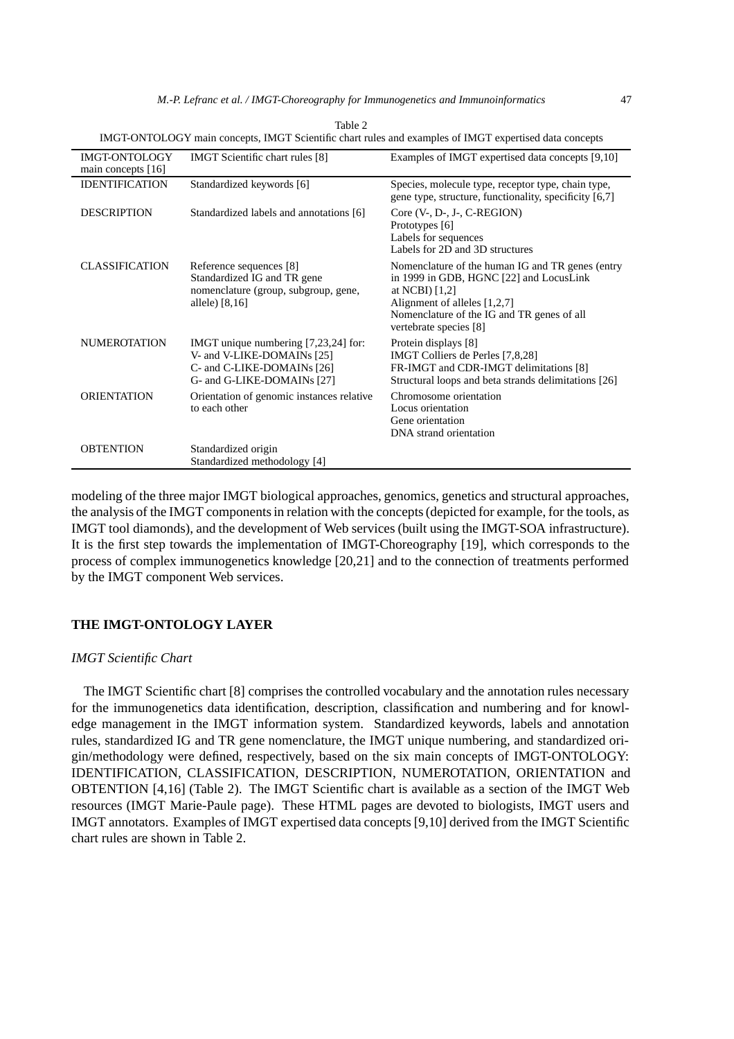|                                     |                                                                                                                                | TIMO POINTOLOO P THAIN CONCEPTS, TIMO P SCICHUNG CHAIT HIRES AND CAAMPICS OF INTO P CAPCHISCO GATA CONCEPTS                                                                                                            |
|-------------------------------------|--------------------------------------------------------------------------------------------------------------------------------|------------------------------------------------------------------------------------------------------------------------------------------------------------------------------------------------------------------------|
| IMGT-ONTOLOGY<br>main concepts [16] | <b>IMGT</b> Scientific chart rules [8]                                                                                         | Examples of IMGT expertised data concepts [9,10]                                                                                                                                                                       |
| <b>IDENTIFICATION</b>               | Standardized keywords [6]                                                                                                      | Species, molecule type, receptor type, chain type,<br>gene type, structure, functionality, specificity [6,7]                                                                                                           |
| <b>DESCRIPTION</b>                  | Standardized labels and annotations [6]                                                                                        | Core $(V, D-, J-, C-REGION)$<br>Prototypes [6]<br>Labels for sequences<br>Labels for 2D and 3D structures                                                                                                              |
| <b>CLASSIFICATION</b>               | Reference sequences [8]<br>Standardized IG and TR gene<br>nomenclature (group, subgroup, gene,<br>allele) [8,16]               | Nomenclature of the human IG and TR genes (entry<br>in 1999 in GDB, HGNC [22] and LocusLink<br>at NCBI $[1,2]$<br>Alignment of alleles [1,2,7]<br>Nomenclature of the IG and TR genes of all<br>vertebrate species [8] |
| <b>NUMEROTATION</b>                 | IMGT unique numbering [7,23,24] for:<br>V- and V-LIKE-DOMAINs [25]<br>C- and C-LIKE-DOMAINs [26]<br>G- and G-LIKE-DOMAINs [27] | Protein displays [8]<br>IMGT Colliers de Perles [7,8,28]<br>FR-IMGT and CDR-IMGT delimitations [8]<br>Structural loops and beta strands delimitations [26]                                                             |
| <b>ORIENTATION</b>                  | Orientation of genomic instances relative<br>to each other                                                                     | Chromosome orientation<br>Locus orientation<br>Gene orientation<br>DNA strand orientation                                                                                                                              |
| <b>OBTENTION</b>                    | Standardized origin<br>Standardized methodology [4]                                                                            |                                                                                                                                                                                                                        |

| Table 2                                                                                                |  |
|--------------------------------------------------------------------------------------------------------|--|
| IMGT-ONTOLOGY main concepts. IMGT Scientific chart rules and examples of IMGT expertised data concepts |  |

modeling of the three major IMGT biological approaches, genomics, genetics and structural approaches, the analysis of the IMGT components in relation with the concepts (depicted for example, for the tools, as IMGT tool diamonds), and the development of Web services (built using the IMGT-SOA infrastructure). It is the first step towards the implementation of IMGT-Choreography [19], which corresponds to the process of complex immunogenetics knowledge [20,21] and to the connection of treatments performed by the IMGT component Web services.

# **THE IMGT-ONTOLOGY LAYER**

## *IMGT Scientific Chart*

The IMGT Scientific chart [8] comprises the controlled vocabulary and the annotation rules necessary for the immunogenetics data identification, description, classification and numbering and for knowledge management in the IMGT information system. Standardized keywords, labels and annotation rules, standardized IG and TR gene nomenclature, the IMGT unique numbering, and standardized origin/methodology were defined, respectively, based on the six main concepts of IMGT-ONTOLOGY: IDENTIFICATION, CLASSIFICATION, DESCRIPTION, NUMEROTATION, ORIENTATION and OBTENTION [4,16] (Table 2). The IMGT Scientific chart is available as a section of the IMGT Web resources (IMGT Marie-Paule page). These HTML pages are devoted to biologists, IMGT users and IMGT annotators. Examples of IMGT expertised data concepts [9,10] derived from the IMGT Scientific chart rules are shown in Table 2.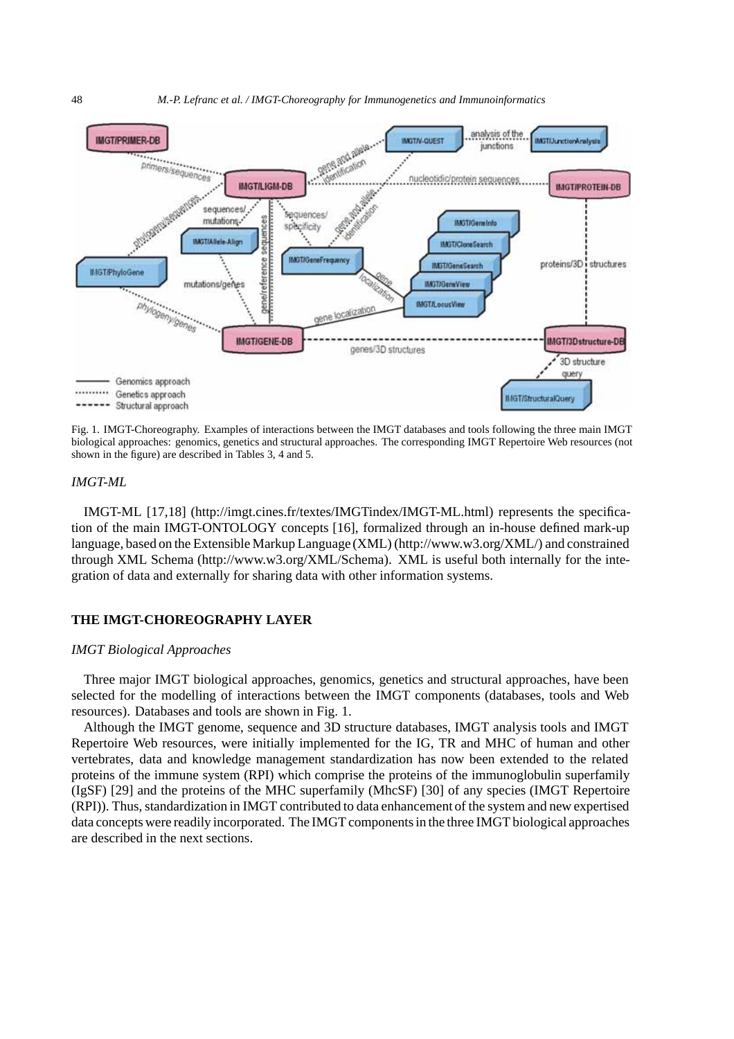

Fig. 1. IMGT-Choreography. Examples of interactions between the IMGT databases and tools following the three main IMGT biological approaches: genomics, genetics and structural approaches. The corresponding IMGT Repertoire Web resources (not shown in the figure) are described in Tables 3, 4 and 5.

# *IMGT-ML*

IMGT-ML [17,18] (http://imgt.cines.fr/textes/IMGTindex/IMGT-ML.html) represents the specification of the main IMGT-ONTOLOGY concepts [16], formalized through an in-house defined mark-up language, based on the Extensible Markup Language (XML) (http://www.w3.org/XML/) and constrained through XML Schema (http://www.w3.org/XML/Schema). XML is useful both internally for the integration of data and externally for sharing data with other information systems.

# **THE IMGT-CHOREOGRAPHY LAYER**

#### *IMGT Biological Approaches*

Three major IMGT biological approaches, genomics, genetics and structural approaches, have been selected for the modelling of interactions between the IMGT components (databases, tools and Web resources). Databases and tools are shown in Fig. 1.

Although the IMGT genome, sequence and 3D structure databases, IMGT analysis tools and IMGT Repertoire Web resources, were initially implemented for the IG, TR and MHC of human and other vertebrates, data and knowledge management standardization has now been extended to the related proteins of the immune system (RPI) which comprise the proteins of the immunoglobulin superfamily (IgSF) [29] and the proteins of the MHC superfamily (MhcSF) [30] of any species (IMGT Repertoire (RPI)). Thus, standardization in IMGT contributed to data enhancement of the system and new expertised data concepts were readily incorporated. The IMGT components in the three IMGT biological approaches are described in the next sections.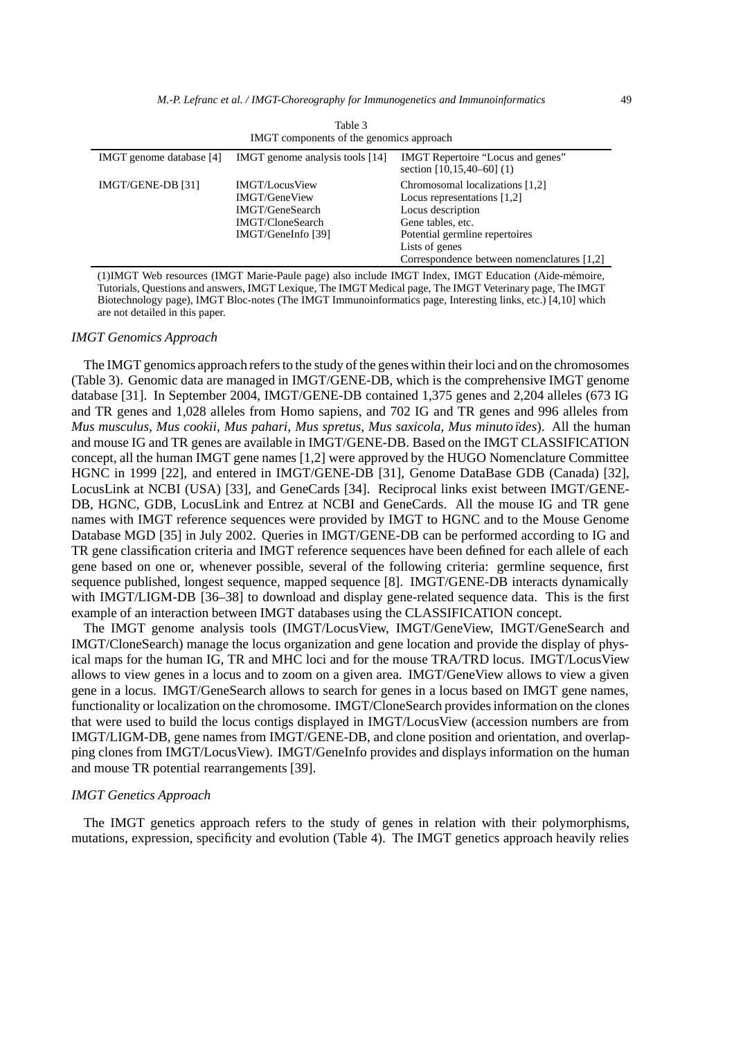| $1$ and $\sim$<br>IMGT components of the genomics approach |                                                                                                            |                                                                                                                                                                                                              |
|------------------------------------------------------------|------------------------------------------------------------------------------------------------------------|--------------------------------------------------------------------------------------------------------------------------------------------------------------------------------------------------------------|
| IMGT genome database [4]                                   | IMGT genome analysis tools [14]                                                                            | IMGT Repertoire "Locus and genes"<br>section $[10, 15, 40-60]$ (1)                                                                                                                                           |
| IMGT/GENE-DB [31]                                          | <b>IMGT/LocusView</b><br><b>IMGT/GeneView</b><br>IMGT/GeneSearch<br>IMGT/CloneSearch<br>IMGT/GeneInfo [39] | Chromosomal localizations [1,2]<br>Locus representations $[1,2]$<br>Locus description<br>Gene tables, etc.<br>Potential germline repertoires<br>Lists of genes<br>Correspondence between nomenclatures [1,2] |

 $T<sub>11</sub>$ 

(1)IMGT Web resources (IMGT Marie-Paule page) also include IMGT Index, IMGT Education (Aide-memoire, ´ Tutorials, Questions and answers, IMGT Lexique, The IMGT Medical page, The IMGT Veterinary page, The IMGT Biotechnology page), IMGT Bloc-notes (The IMGT Immunoinformatics page, Interesting links, etc.) [4,10] which are not detailed in this paper.

#### *IMGT Genomics Approach*

The IMGT genomics approach refers to the study of the genes within their loci and on the chromosomes (Table 3). Genomic data are managed in IMGT/GENE-DB, which is the comprehensive IMGT genome database [31]. In September 2004, IMGT/GENE-DB contained 1,375 genes and 2,204 alleles (673 IG and TR genes and 1,028 alleles from Homo sapiens, and 702 IG and TR genes and 996 alleles from *Mus musculus, Mus cookii, Mus pahari, Mus spretus, Mus saxicola, Mus minuto ¨ıdes*). All the human and mouse IG and TR genes are available in IMGT/GENE-DB. Based on the IMGT CLASSIFICATION concept, all the human IMGT gene names [1,2] were approved by the HUGO Nomenclature Committee HGNC in 1999 [22], and entered in IMGT/GENE-DB [31], Genome DataBase GDB (Canada) [32], LocusLink at NCBI (USA) [33], and GeneCards [34]. Reciprocal links exist between IMGT/GENE-DB, HGNC, GDB, LocusLink and Entrez at NCBI and GeneCards. All the mouse IG and TR gene names with IMGT reference sequences were provided by IMGT to HGNC and to the Mouse Genome Database MGD [35] in July 2002. Queries in IMGT/GENE-DB can be performed according to IG and TR gene classification criteria and IMGT reference sequences have been defined for each allele of each gene based on one or, whenever possible, several of the following criteria: germline sequence, first sequence published, longest sequence, mapped sequence [8]. IMGT/GENE-DB interacts dynamically with IMGT/LIGM-DB [36–38] to download and display gene-related sequence data. This is the first example of an interaction between IMGT databases using the CLASSIFICATION concept.

The IMGT genome analysis tools (IMGT/LocusView, IMGT/GeneView, IMGT/GeneSearch and IMGT/CloneSearch) manage the locus organization and gene location and provide the display of physical maps for the human IG, TR and MHC loci and for the mouse TRA/TRD locus. IMGT/LocusView allows to view genes in a locus and to zoom on a given area. IMGT/GeneView allows to view a given gene in a locus. IMGT/GeneSearch allows to search for genes in a locus based on IMGT gene names, functionality or localization on the chromosome. IMGT/CloneSearch provides information on the clones that were used to build the locus contigs displayed in IMGT/LocusView (accession numbers are from IMGT/LIGM-DB, gene names from IMGT/GENE-DB, and clone position and orientation, and overlapping clones from IMGT/LocusView). IMGT/GeneInfo provides and displays information on the human and mouse TR potential rearrangements [39].

## *IMGT Genetics Approach*

The IMGT genetics approach refers to the study of genes in relation with their polymorphisms, mutations, expression, specificity and evolution (Table 4). The IMGT genetics approach heavily relies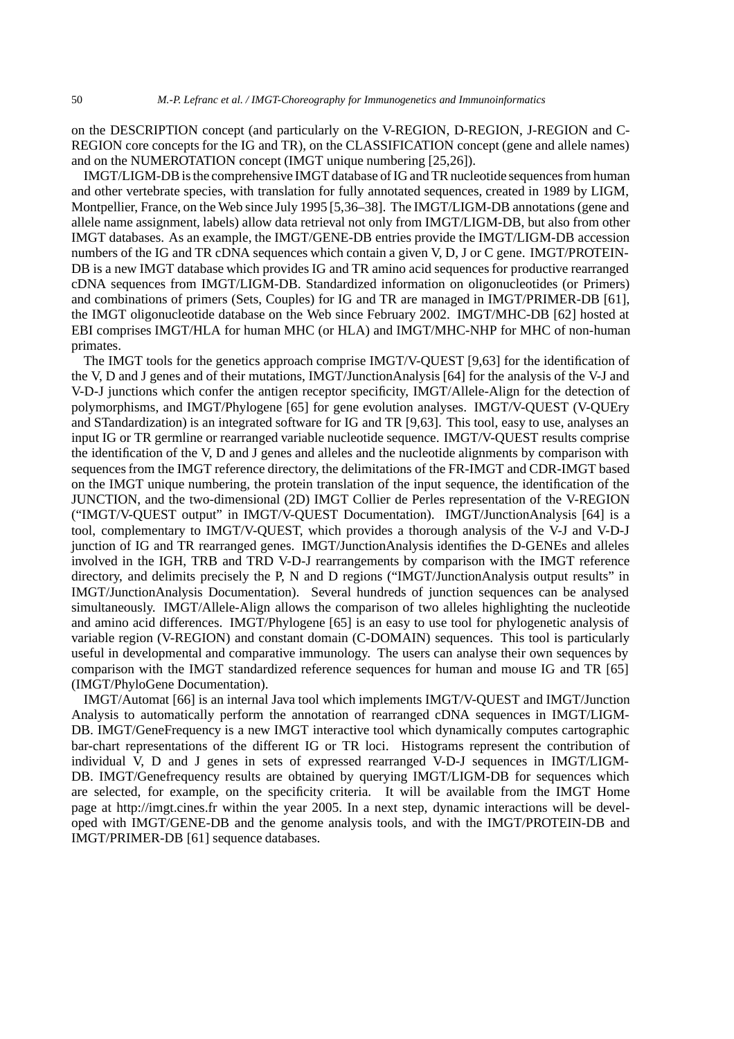on the DESCRIPTION concept (and particularly on the V-REGION, D-REGION, J-REGION and C-REGION core concepts for the IG and TR), on the CLASSIFICATION concept (gene and allele names) and on the NUMEROTATION concept (IMGT unique numbering [25,26]).

IMGT/LIGM-DB is the comprehensive IMGT database of IG and TR nucleotide sequences from human and other vertebrate species, with translation for fully annotated sequences, created in 1989 by LIGM, Montpellier, France, on the Web since July 1995 [5,36–38]. The IMGT/LIGM-DB annotations (gene and allele name assignment, labels) allow data retrieval not only from IMGT/LIGM-DB, but also from other IMGT databases. As an example, the IMGT/GENE-DB entries provide the IMGT/LIGM-DB accession numbers of the IG and TR cDNA sequences which contain a given V, D, J or C gene. IMGT/PROTEIN-DB is a new IMGT database which provides IG and TR amino acid sequences for productive rearranged cDNA sequences from IMGT/LIGM-DB. Standardized information on oligonucleotides (or Primers) and combinations of primers (Sets, Couples) for IG and TR are managed in IMGT/PRIMER-DB [61], the IMGT oligonucleotide database on the Web since February 2002. IMGT/MHC-DB [62] hosted at EBI comprises IMGT/HLA for human MHC (or HLA) and IMGT/MHC-NHP for MHC of non-human primates.

The IMGT tools for the genetics approach comprise IMGT/V-QUEST [9,63] for the identification of the V, D and J genes and of their mutations, IMGT/JunctionAnalysis [64] for the analysis of the V-J and V-D-J junctions which confer the antigen receptor specificity, IMGT/Allele-Align for the detection of polymorphisms, and IMGT/Phylogene [65] for gene evolution analyses. IMGT/V-QUEST (V-QUEry and STandardization) is an integrated software for IG and TR [9,63]. This tool, easy to use, analyses an input IG or TR germline or rearranged variable nucleotide sequence. IMGT/V-QUEST results comprise the identification of the V, D and J genes and alleles and the nucleotide alignments by comparison with sequences from the IMGT reference directory, the delimitations of the FR-IMGT and CDR-IMGT based on the IMGT unique numbering, the protein translation of the input sequence, the identification of the JUNCTION, and the two-dimensional (2D) IMGT Collier de Perles representation of the V-REGION ("IMGT/V-QUEST output" in IMGT/V-QUEST Documentation). IMGT/JunctionAnalysis [64] is a tool, complementary to IMGT/V-QUEST, which provides a thorough analysis of the V-J and V-D-J junction of IG and TR rearranged genes. IMGT/JunctionAnalysis identifies the D-GENEs and alleles involved in the IGH, TRB and TRD V-D-J rearrangements by comparison with the IMGT reference directory, and delimits precisely the P, N and D regions ("IMGT/JunctionAnalysis output results" in IMGT/JunctionAnalysis Documentation). Several hundreds of junction sequences can be analysed simultaneously. IMGT/Allele-Align allows the comparison of two alleles highlighting the nucleotide and amino acid differences. IMGT/Phylogene [65] is an easy to use tool for phylogenetic analysis of variable region (V-REGION) and constant domain (C-DOMAIN) sequences. This tool is particularly useful in developmental and comparative immunology. The users can analyse their own sequences by comparison with the IMGT standardized reference sequences for human and mouse IG and TR [65] (IMGT/PhyloGene Documentation).

IMGT/Automat [66] is an internal Java tool which implements IMGT/V-QUEST and IMGT/Junction Analysis to automatically perform the annotation of rearranged cDNA sequences in IMGT/LIGM-DB. IMGT/GeneFrequency is a new IMGT interactive tool which dynamically computes cartographic bar-chart representations of the different IG or TR loci. Histograms represent the contribution of individual V, D and J genes in sets of expressed rearranged V-D-J sequences in IMGT/LIGM-DB. IMGT/Genefrequency results are obtained by querying IMGT/LIGM-DB for sequences which are selected, for example, on the specificity criteria. It will be available from the IMGT Home page at http://imgt.cines.fr within the year 2005. In a next step, dynamic interactions will be developed with IMGT/GENE-DB and the genome analysis tools, and with the IMGT/PROTEIN-DB and IMGT/PRIMER-DB [61] sequence databases.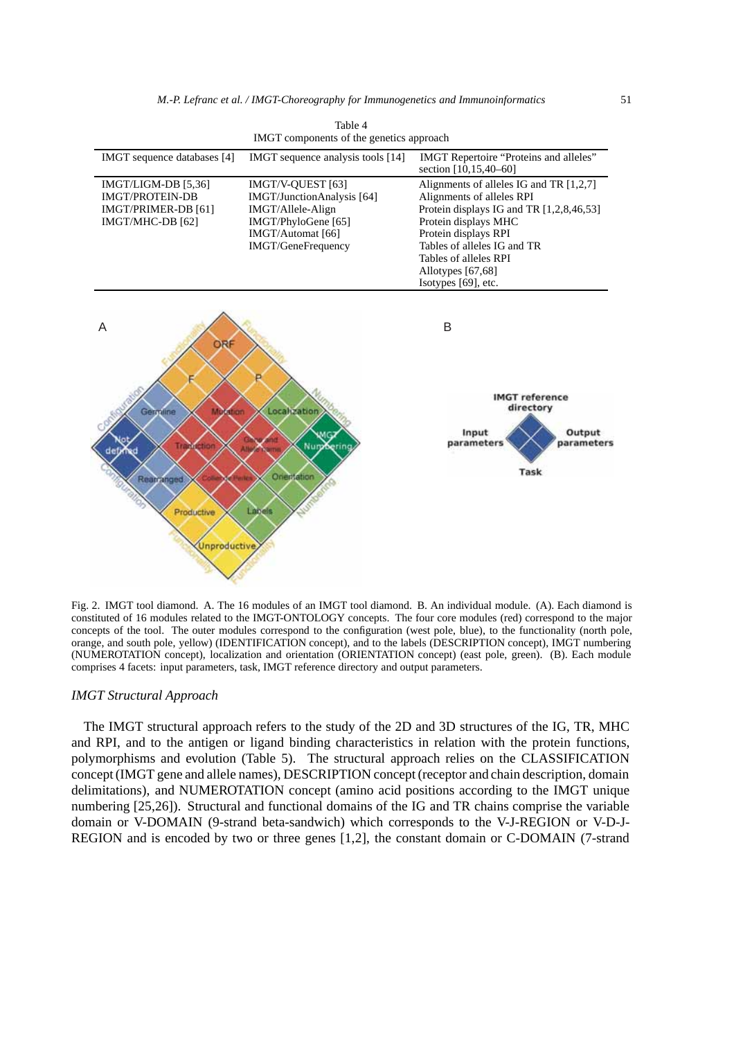|                                                                                                       | IMGT components of the genetics approach                                                                                               |                                                                                                                                                                                                                                                                      |
|-------------------------------------------------------------------------------------------------------|----------------------------------------------------------------------------------------------------------------------------------------|----------------------------------------------------------------------------------------------------------------------------------------------------------------------------------------------------------------------------------------------------------------------|
| IMGT sequence databases [4]                                                                           | IMGT sequence analysis tools [14]                                                                                                      | IMGT Repertoire "Proteins and alleles"<br>section [10,15,40-60]                                                                                                                                                                                                      |
| IMGT/LIGM-DB [5,36]<br><b>IMGT/PROTEIN-DB</b><br>IMGT/PRIMER-DB [61]<br>IMGT/MHC-DB [62]              | IMGT/V-QUEST [63]<br>IMGT/JunctionAnalysis [64]<br>IMGT/Allele-Align<br>IMGT/PhyloGene [65]<br>IMGT/Automat [66]<br>IMGT/GeneFrequency | Alignments of alleles IG and TR [1,2,7]<br>Alignments of alleles RPI<br>Protein displays IG and TR [1,2,8,46,53]<br>Protein displays MHC<br>Protein displays RPI<br>Tables of alleles IG and TR<br>Tables of alleles RPI<br>Allotypes [67,68]<br>Isotypes [69], etc. |
| Α<br><b>ORF</b>                                                                                       |                                                                                                                                        | B                                                                                                                                                                                                                                                                    |
| Germine<br>Mutation<br><b>Miclion</b><br>т<br>defa<br>Rearranged<br>Productive<br><b>Unproductive</b> | Localization<br>Nury<br>Serina<br>Orientation<br>Labels                                                                                | <b>IMGT</b> reference<br>directory<br>Input<br>Output<br>parameters<br>parameters<br>Task                                                                                                                                                                            |

Table 4

Fig. 2. IMGT tool diamond. A. The 16 modules of an IMGT tool diamond. B. An individual module. (A). Each diamond is constituted of 16 modules related to the IMGT-ONTOLOGY concepts. The four core modules (red) correspond to the major concepts of the tool. The outer modules correspond to the configuration (west pole, blue), to the functionality (north pole, orange, and south pole, yellow) (IDENTIFICATION concept), and to the labels (DESCRIPTION concept), IMGT numbering (NUMEROTATION concept), localization and orientation (ORIENTATION concept) (east pole, green). (B). Each module comprises 4 facets: input parameters, task, IMGT reference directory and output parameters.

# *IMGT Structural Approach*

The IMGT structural approach refers to the study of the 2D and 3D structures of the IG, TR, MHC and RPI, and to the antigen or ligand binding characteristics in relation with the protein functions, polymorphisms and evolution (Table 5). The structural approach relies on the CLASSIFICATION concept (IMGT gene and allele names), DESCRIPTION concept (receptor and chain description, domain delimitations), and NUMEROTATION concept (amino acid positions according to the IMGT unique numbering [25,26]). Structural and functional domains of the IG and TR chains comprise the variable domain or V-DOMAIN (9-strand beta-sandwich) which corresponds to the V-J-REGION or V-D-J-REGION and is encoded by two or three genes [1,2], the constant domain or C-DOMAIN (7-strand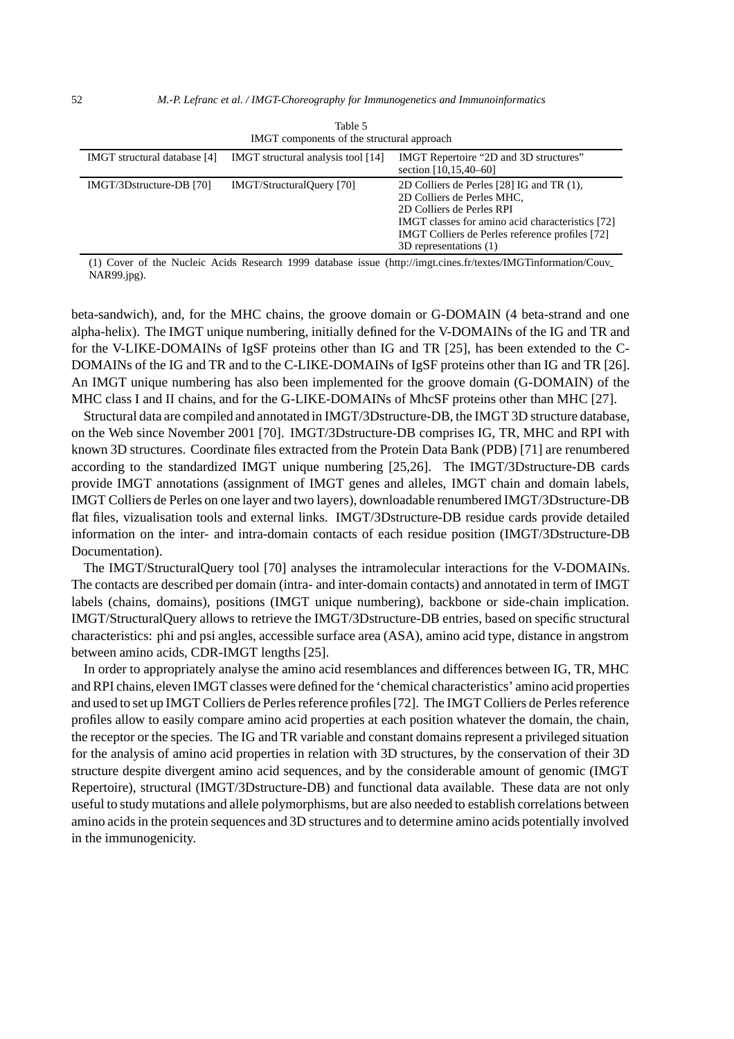|                              | TIME COMPONENTS OF the structural approach |                                                                                                                                                                                                                                       |
|------------------------------|--------------------------------------------|---------------------------------------------------------------------------------------------------------------------------------------------------------------------------------------------------------------------------------------|
| IMGT structural database [4] | IMGT structural analysis tool [14]         | IMGT Repertoire "2D and 3D structures"<br>section $[10, 15, 40 - 60]$                                                                                                                                                                 |
| IMGT/3Dstructure-DB [70]     | <b>IMGT/StructuralQuery</b> [70]           | 2D Colliers de Perles [28] IG and TR (1),<br>2D Colliers de Perles MHC,<br>2D Colliers de Perles RPI<br>IMGT classes for amino acid characteristics [72]<br>IMGT Colliers de Perles reference profiles [72]<br>3D representations (1) |

| Table 5                                    |
|--------------------------------------------|
| IMGT components of the structural approach |

(1) Cover of the Nucleic Acids Research 1999 database issue (http://imgt.cines.fr/textes/IMGTinformation/Couv NAR99.jpg).

beta-sandwich), and, for the MHC chains, the groove domain or G-DOMAIN (4 beta-strand and one alpha-helix). The IMGT unique numbering, initially defined for the V-DOMAINs of the IG and TR and for the V-LIKE-DOMAINs of IgSF proteins other than IG and TR [25], has been extended to the C-DOMAINs of the IG and TR and to the C-LIKE-DOMAINs of IgSF proteins other than IG and TR [26]. An IMGT unique numbering has also been implemented for the groove domain (G-DOMAIN) of the MHC class I and II chains, and for the G-LIKE-DOMAINs of MhcSF proteins other than MHC [27].

Structural data are compiled and annotated in IMGT/3Dstructure-DB, the IMGT 3D structure database, on the Web since November 2001 [70]. IMGT/3Dstructure-DB comprises IG, TR, MHC and RPI with known 3D structures. Coordinate files extracted from the Protein Data Bank (PDB) [71] are renumbered according to the standardized IMGT unique numbering [25,26]. The IMGT/3Dstructure-DB cards provide IMGT annotations (assignment of IMGT genes and alleles, IMGT chain and domain labels, IMGT Colliers de Perles on one layer and two layers), downloadable renumbered IMGT/3Dstructure-DB flat files, vizualisation tools and external links. IMGT/3Dstructure-DB residue cards provide detailed information on the inter- and intra-domain contacts of each residue position (IMGT/3Dstructure-DB Documentation).

The IMGT/StructuralQuery tool [70] analyses the intramolecular interactions for the V-DOMAINs. The contacts are described per domain (intra- and inter-domain contacts) and annotated in term of IMGT labels (chains, domains), positions (IMGT unique numbering), backbone or side-chain implication. IMGT/StructuralQuery allows to retrieve the IMGT/3Dstructure-DB entries, based on specific structural characteristics: phi and psi angles, accessible surface area (ASA), amino acid type, distance in angstrom between amino acids, CDR-IMGT lengths [25].

In order to appropriately analyse the amino acid resemblances and differences between IG, TR, MHC and RPI chains, eleven IMGT classes were defined for the 'chemical characteristics' amino acid properties and used to set up IMGT Colliers de Perles reference profiles [72]. The IMGT Colliers de Perles reference profiles allow to easily compare amino acid properties at each position whatever the domain, the chain, the receptor or the species. The IG and TR variable and constant domains represent a privileged situation for the analysis of amino acid properties in relation with 3D structures, by the conservation of their 3D structure despite divergent amino acid sequences, and by the considerable amount of genomic (IMGT Repertoire), structural (IMGT/3Dstructure-DB) and functional data available. These data are not only useful to study mutations and allele polymorphisms, but are also needed to establish correlations between amino acids in the protein sequences and 3D structures and to determine amino acids potentially involved in the immunogenicity.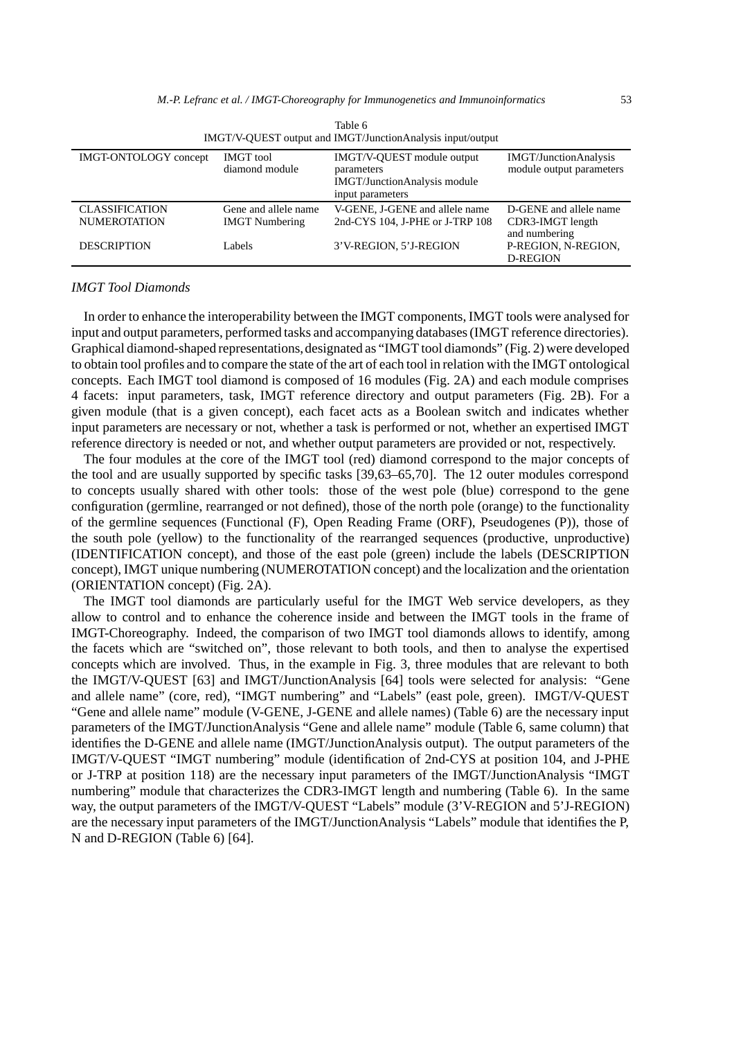| IMGT/V-QUEST output and IMGT/JunctionAnalysis input/output |                                    |                                                                                                     |                                                          |
|------------------------------------------------------------|------------------------------------|-----------------------------------------------------------------------------------------------------|----------------------------------------------------------|
| <b>IMGT-ONTOLOGY</b> concept                               | <b>IMGT</b> tool<br>diamond module | IMGT/V-OUEST module output<br>parameters<br><b>IMGT/JunctionAnalysis module</b><br>input parameters | <b>IMGT/JunctionAnalysis</b><br>module output parameters |
| <b>CLASSIFICATION</b>                                      | Gene and allele name               | V-GENE, J-GENE and allele name                                                                      | D-GENE and allele name                                   |
| <b>NUMEROTATION</b>                                        | <b>IMGT</b> Numbering              | 2nd-CYS 104, J-PHE or J-TRP 108                                                                     | CDR3-IMGT length                                         |
| <b>DESCRIPTION</b>                                         | Labels                             | 3'V-REGION, 5'J-REGION                                                                              | and numbering<br>P-REGION, N-REGION.<br>D-REGION         |

| Table 6                                                    |
|------------------------------------------------------------|
| IMGT/V-OUEST output and IMGT/JunctionAnalysis input/output |

#### *IMGT Tool Diamonds*

In order to enhance the interoperability between the IMGT components, IMGT tools were analysed for input and output parameters, performed tasks and accompanying databases (IMGT reference directories). Graphical diamond-shaped representations,designated as "IMGT tool diamonds" (Fig. 2) were developed to obtain tool profiles and to compare the state of the art of each tool in relation with the IMGT ontological concepts. Each IMGT tool diamond is composed of 16 modules (Fig. 2A) and each module comprises 4 facets: input parameters, task, IMGT reference directory and output parameters (Fig. 2B). For a given module (that is a given concept), each facet acts as a Boolean switch and indicates whether input parameters are necessary or not, whether a task is performed or not, whether an expertised IMGT reference directory is needed or not, and whether output parameters are provided or not, respectively.

The four modules at the core of the IMGT tool (red) diamond correspond to the major concepts of the tool and are usually supported by specific tasks [39,63–65,70]. The 12 outer modules correspond to concepts usually shared with other tools: those of the west pole (blue) correspond to the gene configuration (germline, rearranged or not defined), those of the north pole (orange) to the functionality of the germline sequences (Functional (F), Open Reading Frame (ORF), Pseudogenes (P)), those of the south pole (yellow) to the functionality of the rearranged sequences (productive, unproductive) (IDENTIFICATION concept), and those of the east pole (green) include the labels (DESCRIPTION concept), IMGT unique numbering (NUMEROTATION concept) and the localization and the orientation (ORIENTATION concept) (Fig. 2A).

The IMGT tool diamonds are particularly useful for the IMGT Web service developers, as they allow to control and to enhance the coherence inside and between the IMGT tools in the frame of IMGT-Choreography. Indeed, the comparison of two IMGT tool diamonds allows to identify, among the facets which are "switched on", those relevant to both tools, and then to analyse the expertised concepts which are involved. Thus, in the example in Fig. 3, three modules that are relevant to both the IMGT/V-QUEST [63] and IMGT/JunctionAnalysis [64] tools were selected for analysis: "Gene and allele name" (core, red), "IMGT numbering" and "Labels" (east pole, green). IMGT/V-QUEST "Gene and allele name" module (V-GENE, J-GENE and allele names) (Table 6) are the necessary input parameters of the IMGT/JunctionAnalysis "Gene and allele name" module (Table 6, same column) that identifies the D-GENE and allele name (IMGT/JunctionAnalysis output). The output parameters of the IMGT/V-QUEST "IMGT numbering" module (identification of 2nd-CYS at position 104, and J-PHE or J-TRP at position 118) are the necessary input parameters of the IMGT/JunctionAnalysis "IMGT numbering" module that characterizes the CDR3-IMGT length and numbering (Table 6). In the same way, the output parameters of the IMGT/V-QUEST "Labels" module (3'V-REGION and 5'J-REGION) are the necessary input parameters of the IMGT/JunctionAnalysis "Labels" module that identifies the P, N and D-REGION (Table 6) [64].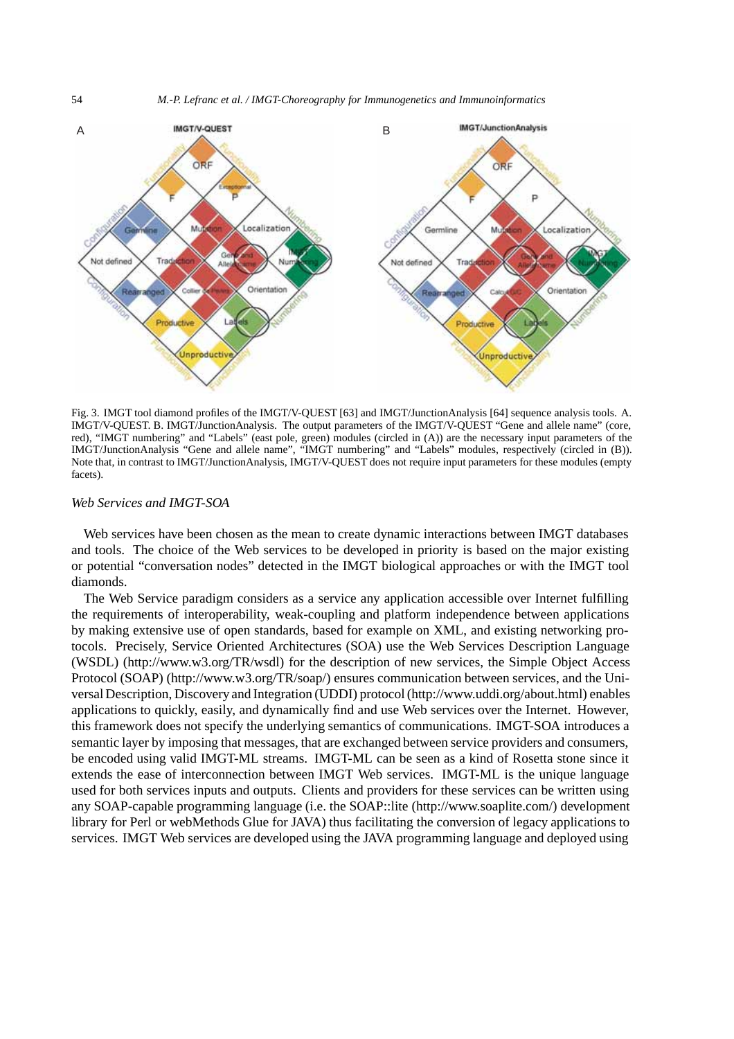

Fig. 3. IMGT tool diamond profiles of the IMGT/V-QUEST [63] and IMGT/JunctionAnalysis [64] sequence analysis tools. A. IMGT/V-QUEST. B. IMGT/JunctionAnalysis. The output parameters of the IMGT/V-QUEST "Gene and allele name" (core, red), "IMGT numbering" and "Labels" (east pole, green) modules (circled in (A)) are the necessary input parameters of the IMGT/JunctionAnalysis "Gene and allele name", "IMGT numbering" and "Labels" modules, respectively (circled in (B)). Note that, in contrast to IMGT/JunctionAnalysis, IMGT/V-QUEST does not require input parameters for these modules (empty facets).

#### *Web Services and IMGT-SOA*

Web services have been chosen as the mean to create dynamic interactions between IMGT databases and tools. The choice of the Web services to be developed in priority is based on the major existing or potential "conversation nodes" detected in the IMGT biological approaches or with the IMGT tool diamonds.

The Web Service paradigm considers as a service any application accessible over Internet fulfilling the requirements of interoperability, weak-coupling and platform independence between applications by making extensive use of open standards, based for example on XML, and existing networking protocols. Precisely, Service Oriented Architectures (SOA) use the Web Services Description Language (WSDL) (http://www.w3.org/TR/wsdl) for the description of new services, the Simple Object Access Protocol (SOAP) (http://www.w3.org/TR/soap/) ensures communication between services, and the Universal Description, Discovery and Integration (UDDI) protocol (http://www.uddi.org/about.html) enables applications to quickly, easily, and dynamically find and use Web services over the Internet. However, this framework does not specify the underlying semantics of communications. IMGT-SOA introduces a semantic layer by imposing that messages, that are exchanged between service providers and consumers, be encoded using valid IMGT-ML streams. IMGT-ML can be seen as a kind of Rosetta stone since it extends the ease of interconnection between IMGT Web services. IMGT-ML is the unique language used for both services inputs and outputs. Clients and providers for these services can be written using any SOAP-capable programming language (i.e. the SOAP::lite (http://www.soaplite.com/) development library for Perl or webMethods Glue for JAVA) thus facilitating the conversion of legacy applications to services. IMGT Web services are developed using the JAVA programming language and deployed using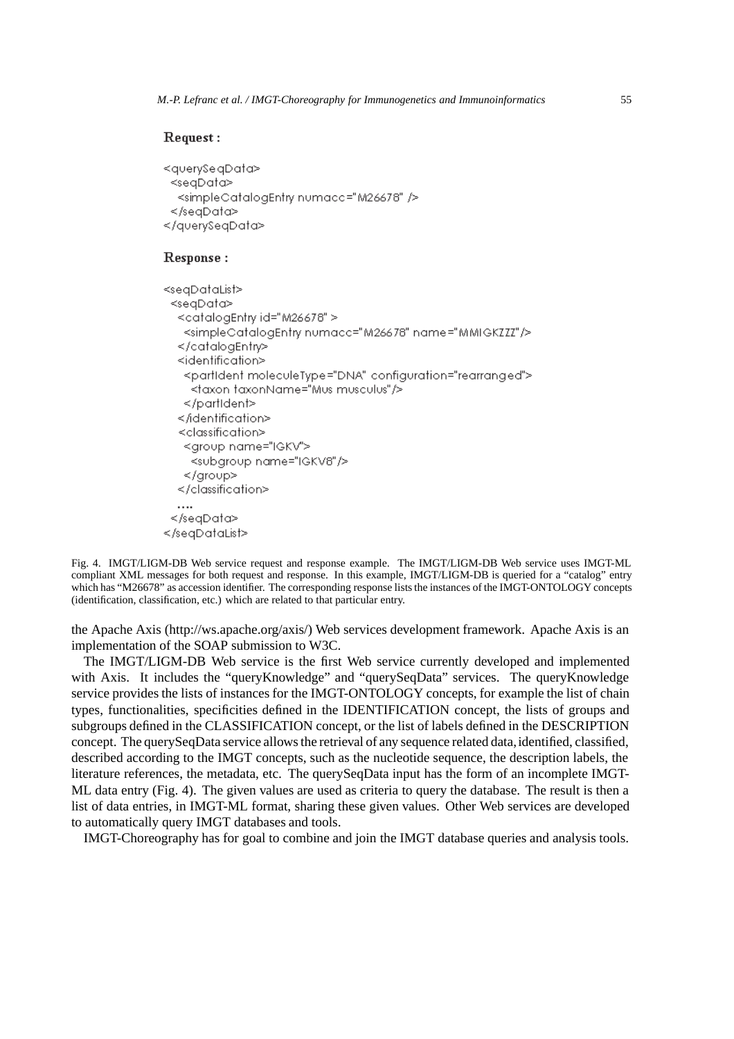#### Request:

```
<querySe.qData>
 <segData>
 <simpleCatalogEntry numacc="M26678" />
 \le/seaData>
</avervSeaData>
```
# Response:

```
<seqDataList><seqData>
  <catalogEntry id="M26678" >
   <simpleCataloaEntry.numacc="M26678" name="MMIGKZZZ"/>
  </cataloaEntr>
  <identification>
   <partIdent moleculeType="DNA" configuration="rearranged">
    <taxon taxonName="Mus musculus"/>
   </partIdent>
  </identification>
  <classification>
   <group name="IGKV">
    <subgroup name="IGKV8"/>
   </group>
  \leq / classification \geq\cdots</seqData>
</seqDataList>
```

```
Fig. 4. IMGT/LIGM-DB Web service request and response example. The IMGT/LIGM-DB Web service uses IMGT-ML
compliant XML messages for both request and response. In this example, IMGT/LIGM-DB is queried for a "catalog" entry
which has "M26678" as accession identifier. The corresponding response lists the instances of the IMGT-ONTOLOGY concepts
(identification, classification, etc.) which are related to that particular entry.
```
the Apache Axis (http://ws.apache.org/axis/) Web services development framework. Apache Axis is an implementation of the SOAP submission to W3C.

The IMGT/LIGM-DB Web service is the first Web service currently developed and implemented with Axis. It includes the "queryKnowledge" and "querySeqData" services. The queryKnowledge service provides the lists of instances for the IMGT-ONTOLOGY concepts, for example the list of chain types, functionalities, specificities defined in the IDENTIFICATION concept, the lists of groups and subgroups defined in the CLASSIFICATION concept, or the list of labels defined in the DESCRIPTION concept. The querySeqData service allows the retrieval of any sequence related data, identified, classified, described according to the IMGT concepts, such as the nucleotide sequence, the description labels, the literature references, the metadata, etc. The querySeqData input has the form of an incomplete IMGT-ML data entry (Fig. 4). The given values are used as criteria to query the database. The result is then a list of data entries, in IMGT-ML format, sharing these given values. Other Web services are developed to automatically query IMGT databases and tools.

IMGT-Choreography has for goal to combine and join the IMGT database queries and analysis tools.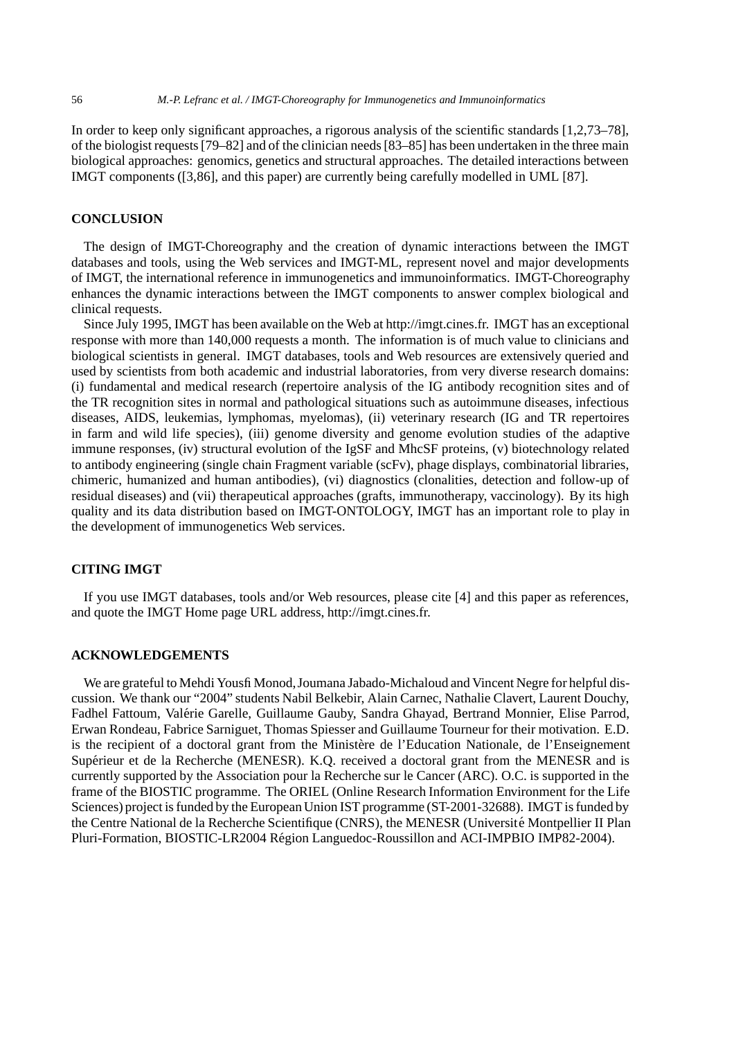In order to keep only significant approaches, a rigorous analysis of the scientific standards [1,2,73–78], of the biologist requests [79–82] and of the clinician needs [83–85] has been undertaken in the three main biological approaches: genomics, genetics and structural approaches. The detailed interactions between IMGT components ([3,86], and this paper) are currently being carefully modelled in UML [87].

# **CONCLUSION**

The design of IMGT-Choreography and the creation of dynamic interactions between the IMGT databases and tools, using the Web services and IMGT-ML, represent novel and major developments of IMGT, the international reference in immunogenetics and immunoinformatics. IMGT-Choreography enhances the dynamic interactions between the IMGT components to answer complex biological and clinical requests.

Since July 1995, IMGT has been available on the Web at http://imgt.cines.fr. IMGT has an exceptional response with more than 140,000 requests a month. The information is of much value to clinicians and biological scientists in general. IMGT databases, tools and Web resources are extensively queried and used by scientists from both academic and industrial laboratories, from very diverse research domains: (i) fundamental and medical research (repertoire analysis of the IG antibody recognition sites and of the TR recognition sites in normal and pathological situations such as autoimmune diseases, infectious diseases, AIDS, leukemias, lymphomas, myelomas), (ii) veterinary research (IG and TR repertoires in farm and wild life species), (iii) genome diversity and genome evolution studies of the adaptive immune responses, (iv) structural evolution of the IgSF and MhcSF proteins, (v) biotechnology related to antibody engineering (single chain Fragment variable (scFv), phage displays, combinatorial libraries, chimeric, humanized and human antibodies), (vi) diagnostics (clonalities, detection and follow-up of residual diseases) and (vii) therapeutical approaches (grafts, immunotherapy, vaccinology). By its high quality and its data distribution based on IMGT-ONTOLOGY, IMGT has an important role to play in the development of immunogenetics Web services.

## **CITING IMGT**

If you use IMGT databases, tools and/or Web resources, please cite [4] and this paper as references, and quote the IMGT Home page URL address, http://imgt.cines.fr.

# **ACKNOWLEDGEMENTS**

We are grateful to Mehdi Yousfi Monod,Joumana Jabado-Michaloud and Vincent Negre for helpful discussion. We thank our "2004" students Nabil Belkebir, Alain Carnec, Nathalie Clavert, Laurent Douchy, Fadhel Fattoum, Valérie Garelle, Guillaume Gauby, Sandra Ghayad, Bertrand Monnier, Elise Parrod, Erwan Rondeau, Fabrice Sarniguet, Thomas Spiesser and Guillaume Tourneur for their motivation. E.D. is the recipient of a doctoral grant from the Ministère de l'Education Nationale, de l'Enseignement Supérieur et de la Recherche (MENESR). K.Q. received a doctoral grant from the MENESR and is currently supported by the Association pour la Recherche sur le Cancer (ARC). O.C. is supported in the frame of the BIOSTIC programme. The ORIEL (Online Research Information Environment for the Life Sciences) project is funded by the European Union IST programme (ST-2001-32688). IMGT is funded by the Centre National de la Recherche Scientifique (CNRS), the MENESR (Université Montpellier II Plan Pluri-Formation, BIOSTIC-LR2004 Region Languedoc-Roussillon and ACI-IMPBIO IMP82-2004). ´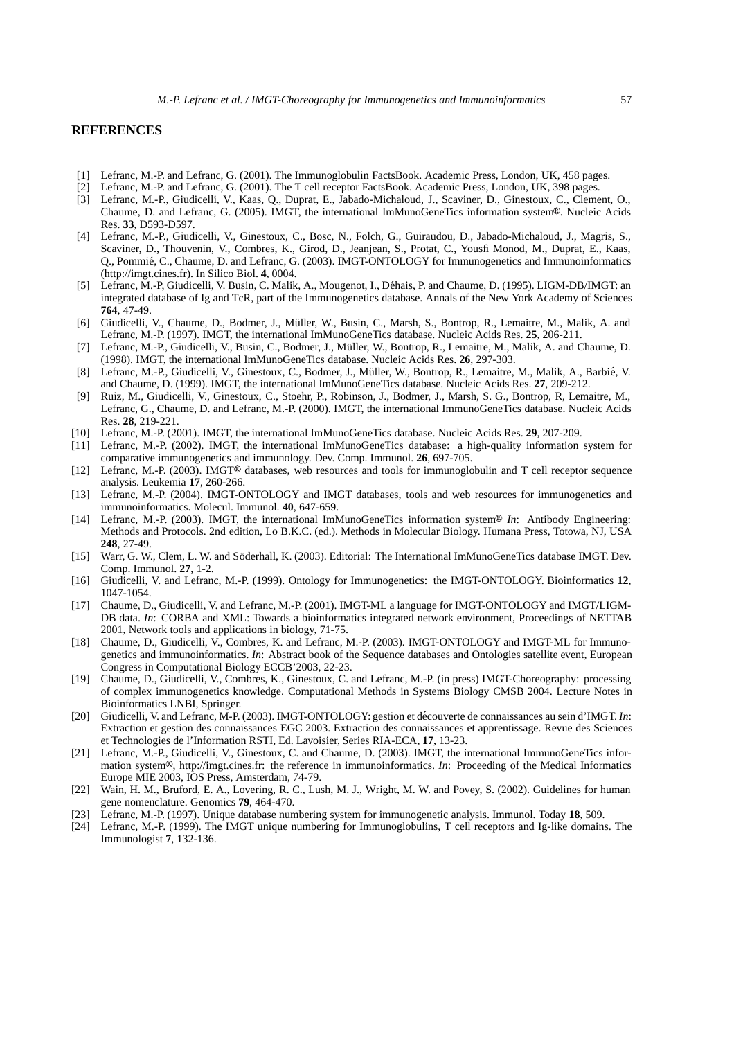#### **REFERENCES**

- [1] Lefranc, M.-P. and Lefranc, G. (2001). The Immunoglobulin FactsBook. Academic Press, London, UK, 458 pages.
- [2] Lefranc, M.-P. and Lefranc, G. (2001). The T cell receptor FactsBook. Academic Press, London, UK, 398 pages.
- [3] Lefranc, M.-P., Giudicelli, V., Kaas, Q., Duprat, E., Jabado-Michaloud, J., Scaviner, D., Ginestoux, C., Clement, O., Chaume, D. and Lefranc, G. (2005). IMGT, the international ImMunoGeneTics information system®. Nucleic Acids Res. **33**, D593-D597.
- [4] Lefranc, M.-P., Giudicelli, V., Ginestoux, C., Bosc, N., Folch, G., Guiraudou, D., Jabado-Michaloud, J., Magris, S., Scaviner, D., Thouvenin, V., Combres, K., Girod, D., Jeanjean, S., Protat, C., Yousfi Monod, M., Duprat, E., Kaas, Q., Pommie, C., Chaume, D. and Lefranc, G. (2003). IMGT-ONTOLOGY for Immunogenetics and Immunoinformatics ´ (http://imgt.cines.fr). In Silico Biol. **4**, 0004.
- [5] Lefranc, M.-P, Giudicelli, V. Busin, C. Malik, A., Mougenot, I., Dehais, P. and Chaume, D. (1995). LIGM-DB/IMGT: an ´ integrated database of Ig and TcR, part of the Immunogenetics database. Annals of the New York Academy of Sciences **764**, 47-49.
- [6] Giudicelli, V., Chaume, D., Bodmer, J., Muller, W., Busin, C., Marsh, S., Bontrop, R., Lemaitre, M., Malik, A. and ¨ Lefranc, M.-P. (1997). IMGT, the international ImMunoGeneTics database. Nucleic Acids Res. **25**, 206-211.
- [7] Lefranc, M.-P., Giudicelli, V., Busin, C., Bodmer, J., Muller, W., Bontrop, R., Lemaitre, M., Malik, A. and Chaume, D. ¨ (1998). IMGT, the international ImMunoGeneTics database. Nucleic Acids Res. **26**, 297-303.
- [8] Lefranc, M.-P., Giudicelli, V., Ginestoux, C., Bodmer, J., Müller, W., Bontrop, R., Lemaitre, M., Malik, A., Barbié, V. and Chaume, D. (1999). IMGT, the international ImMunoGeneTics database. Nucleic Acids Res. **27**, 209-212.
- [9] Ruiz, M., Giudicelli, V., Ginestoux, C., Stoehr, P., Robinson, J., Bodmer, J., Marsh, S. G., Bontrop, R, Lemaitre, M., Lefranc, G., Chaume, D. and Lefranc, M.-P. (2000). IMGT, the international ImmunoGeneTics database. Nucleic Acids Res. **28**, 219-221.
- [10] Lefranc, M.-P. (2001). IMGT, the international ImMunoGeneTics database. Nucleic Acids Res. **29**, 207-209.
- [11] Lefranc, M.-P. (2002). IMGT, the international ImMunoGeneTics database: a high-quality information system for comparative immunogenetics and immunology. Dev. Comp. Immunol. **26**, 697-705.
- [12] Lefranc, M.-P. (2003). IMGT<sup>®</sup> databases, web resources and tools for immunoglobulin and T cell receptor sequence analysis. Leukemia **17**, 260-266.
- [13] Lefranc, M.-P. (2004). IMGT-ONTOLOGY and IMGT databases, tools and web resources for immunogenetics and immunoinformatics. Molecul. Immunol. **40**, 647-659.
- [14] Lefranc, M.-P. (2003). IMGT, the international ImMunoGeneTics information system<sup>®</sup> In: Antibody Engineering: Methods and Protocols. 2nd edition, Lo B.K.C. (ed.). Methods in Molecular Biology. Humana Press, Totowa, NJ, USA **248**, 27-49.
- [15] Warr, G. W., Clem, L. W. and Söderhall, K. (2003). Editorial: The International ImMunoGeneTics database IMGT. Dev. Comp. Immunol. **27**, 1-2.
- [16] Giudicelli, V. and Lefranc, M.-P. (1999). Ontology for Immunogenetics: the IMGT-ONTOLOGY. Bioinformatics **12**, 1047-1054.
- [17] Chaume, D., Giudicelli, V. and Lefranc, M.-P. (2001). IMGT-ML a language for IMGT-ONTOLOGY and IMGT/LIGM-DB data. *In*: CORBA and XML: Towards a bioinformatics integrated network environment, Proceedings of NETTAB 2001, Network tools and applications in biology, 71-75.
- [18] Chaume, D., Giudicelli, V., Combres, K. and Lefranc, M.-P. (2003). IMGT-ONTOLOGY and IMGT-ML for Immunogenetics and immunoinformatics. *In*: Abstract book of the Sequence databases and Ontologies satellite event, European Congress in Computational Biology ECCB'2003, 22-23.
- [19] Chaume, D., Giudicelli, V., Combres, K., Ginestoux, C. and Lefranc, M.-P. (in press) IMGT-Choreography: processing of complex immunogenetics knowledge. Computational Methods in Systems Biology CMSB 2004. Lecture Notes in Bioinformatics LNBI, Springer.
- [20] Giudicelli, V. and Lefranc, M-P. (2003). IMGT-ONTOLOGY: gestion et découverte de connaissances au sein d'IMGT. In: Extraction et gestion des connaissances EGC 2003. Extraction des connaissances et apprentissage. Revue des Sciences et Technologies de l'Information RSTI, Ed. Lavoisier, Series RIA-ECA, **17**, 13-23.
- [21] Lefranc, M.-P., Giudicelli, V., Ginestoux, C. and Chaume, D. (2003). IMGT, the international ImmunoGeneTics information system<sup>®</sup>, http://imgt.cines.fr: the reference in immunoinformatics. *In*: Proceeding of the Medical Informatics Europe MIE 2003, IOS Press, Amsterdam, 74-79.
- [22] Wain, H. M., Bruford, E. A., Lovering, R. C., Lush, M. J., Wright, M. W. and Povey, S. (2002). Guidelines for human gene nomenclature. Genomics **79**, 464-470.
- [23] Lefranc, M.-P. (1997). Unique database numbering system for immunogenetic analysis. Immunol. Today **18**, 509.
- [24] Lefranc, M.-P. (1999). The IMGT unique numbering for Immunoglobulins, T cell receptors and Ig-like domains. The Immunologist **7**, 132-136.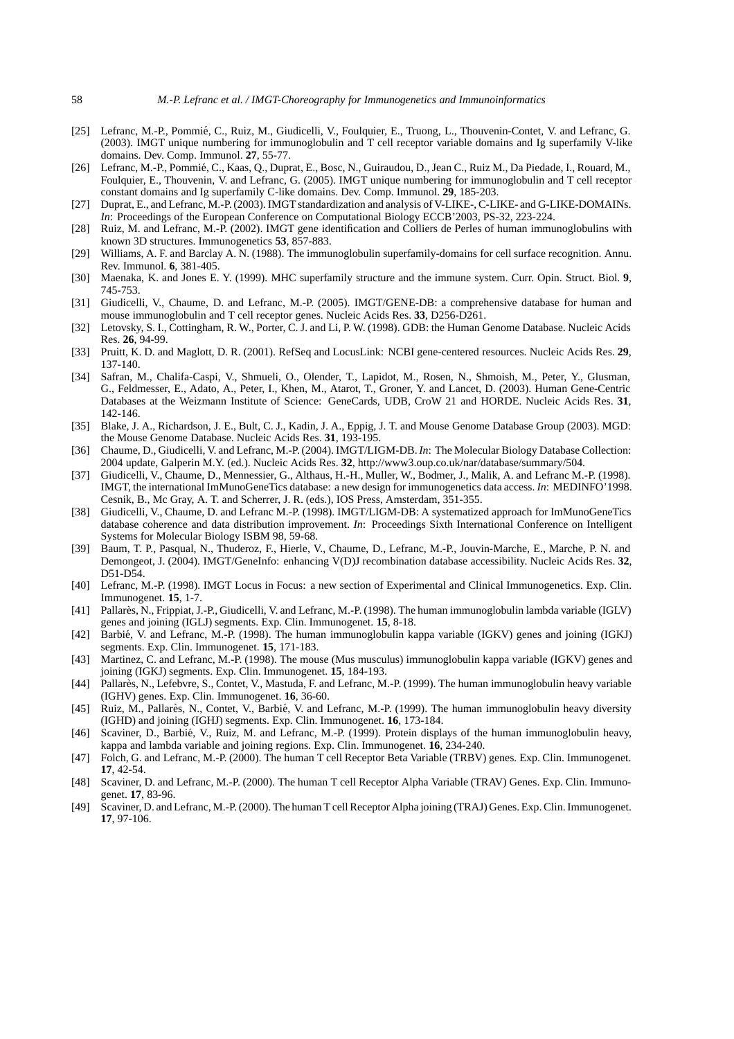- [25] Lefranc, M.-P., Pommié, C., Ruiz, M., Giudicelli, V., Foulquier, E., Truong, L., Thouvenin-Contet, V. and Lefranc, G. (2003). IMGT unique numbering for immunoglobulin and T cell receptor variable domains and Ig superfamily V-like domains. Dev. Comp. Immunol. **27**, 55-77.
- [26] Lefranc, M.-P., Pommie, C., Kaas, Q., Duprat, E., Bosc, N., Guiraudou, D., Jean C., Ruiz M., Da Piedade, I., Rouard, M., ´ Foulquier, E., Thouvenin, V. and Lefranc, G. (2005). IMGT unique numbering for immunoglobulin and T cell receptor constant domains and Ig superfamily C-like domains. Dev. Comp. Immunol. **29**, 185-203.
- [27] Duprat, E., and Lefranc, M.-P. (2003). IMGT standardization and analysis of V-LIKE-, C-LIKE- and G-LIKE-DOMAINs. *In*: Proceedings of the European Conference on Computational Biology ECCB'2003, PS-32, 223-224.
- [28] Ruiz, M. and Lefranc, M.-P. (2002). IMGT gene identification and Colliers de Perles of human immunoglobulins with known 3D structures. Immunogenetics **53**, 857-883.
- [29] Williams, A. F. and Barclay A. N. (1988). The immunoglobulin superfamily-domains for cell surface recognition. Annu. Rev. Immunol. **6**, 381-405.
- [30] Maenaka, K. and Jones E. Y. (1999). MHC superfamily structure and the immune system. Curr. Opin. Struct. Biol. **9**, 745-753.
- [31] Giudicelli, V., Chaume, D. and Lefranc, M.-P. (2005). IMGT/GENE-DB: a comprehensive database for human and mouse immunoglobulin and T cell receptor genes. Nucleic Acids Res. **33**, D256-D261.
- [32] Letovsky, S. I., Cottingham, R. W., Porter, C. J. and Li, P. W. (1998). GDB: the Human Genome Database. Nucleic Acids Res. **26**, 94-99.
- [33] Pruitt, K. D. and Maglott, D. R. (2001). RefSeq and LocusLink: NCBI gene-centered resources. Nucleic Acids Res. **29**, 137-140.
- [34] Safran, M., Chalifa-Caspi, V., Shmueli, O., Olender, T., Lapidot, M., Rosen, N., Shmoish, M., Peter, Y., Glusman, G., Feldmesser, E., Adato, A., Peter, I., Khen, M., Atarot, T., Groner, Y. and Lancet, D. (2003). Human Gene-Centric Databases at the Weizmann Institute of Science: GeneCards, UDB, CroW 21 and HORDE. Nucleic Acids Res. **31**, 142-146.
- [35] Blake, J. A., Richardson, J. E., Bult, C. J., Kadin, J. A., Eppig, J. T. and Mouse Genome Database Group (2003). MGD: the Mouse Genome Database. Nucleic Acids Res. **31**, 193-195.
- [36] Chaume, D., Giudicelli, V. and Lefranc, M.-P. (2004). IMGT/LIGM-DB.*In*: The Molecular Biology Database Collection: 2004 update, Galperin M.Y. (ed.). Nucleic Acids Res. **32**, http://www3.oup.co.uk/nar/database/summary/504.
- [37] Giudicelli, V., Chaume, D., Mennessier, G., Althaus, H.-H., Muller, W., Bodmer, J., Malik, A. and Lefranc M.-P. (1998). IMGT, the international ImMunoGeneTics database: a new design for immunogenetics data access. *In*: MEDINFO'1998. Cesnik, B., Mc Gray, A. T. and Scherrer, J. R. (eds.), IOS Press, Amsterdam, 351-355.
- [38] Giudicelli, V., Chaume, D. and Lefranc M.-P. (1998). IMGT/LIGM-DB: A systematized approach for ImMunoGeneTics database coherence and data distribution improvement. *In*: Proceedings Sixth International Conference on Intelligent Systems for Molecular Biology ISBM 98, 59-68.
- [39] Baum, T. P., Pasqual, N., Thuderoz, F., Hierle, V., Chaume, D., Lefranc, M.-P., Jouvin-Marche, E., Marche, P. N. and Demongeot, J. (2004). IMGT/GeneInfo: enhancing V(D)J recombination database accessibility. Nucleic Acids Res. **32**, D51-D54.
- [40] Lefranc, M.-P. (1998). IMGT Locus in Focus: a new section of Experimental and Clinical Immunogenetics. Exp. Clin. Immunogenet. **15**, 1-7.
- [41] Pallarès, N., Frippiat, J.-P., Giudicelli, V. and Lefranc, M.-P. (1998). The human immunoglobulin lambda variable (IGLV) genes and joining (IGLJ) segments. Exp. Clin. Immunogenet. **15**, 8-18.
- [42] Barbie, V. and Lefranc, M.-P. (1998). The human immunoglobulin kappa variable (IGKV) genes and joining (IGKJ) ´ segments. Exp. Clin. Immunogenet. **15**, 171-183.
- [43] Martinez, C. and Lefranc, M.-P. (1998). The mouse (Mus musculus) immunoglobulin kappa variable (IGKV) genes and joining (IGKJ) segments. Exp. Clin. Immunogenet. **15**, 184-193.
- [44] Pallares, N., Lefebvre, S., Contet, V., Mastuda, F. and Lefranc, M.-P. (1999). The human immunoglobulin heavy variable (IGHV) genes. Exp. Clin. Immunogenet. **16**, 36-60.
- [45] Ruiz, M., Pallarès, N., Contet, V., Barbié, V. and Lefranc, M.-P. (1999). The human immunoglobulin heavy diversity (IGHD) and joining (IGHJ) segments. Exp. Clin. Immunogenet. **16**, 173-184.
- [46] Scaviner, D., Barbie, V., Ruiz, M. and Lefranc, M.-P. (1999). Protein displays of the human immunoglobulin heavy, ´ kappa and lambda variable and joining regions. Exp. Clin. Immunogenet. **16**, 234-240.
- [47] Folch, G. and Lefranc, M.-P. (2000). The human T cell Receptor Beta Variable (TRBV) genes. Exp. Clin. Immunogenet. **17**, 42-54.
- [48] Scaviner, D. and Lefranc, M.-P. (2000). The human T cell Receptor Alpha Variable (TRAV) Genes. Exp. Clin. Immunogenet. **17**, 83-96.
- [49] Scaviner, D. and Lefranc, M.-P. (2000). The human T cell Receptor Alpha joining (TRAJ) Genes. Exp. Clin. Immunogenet. **17**, 97-106.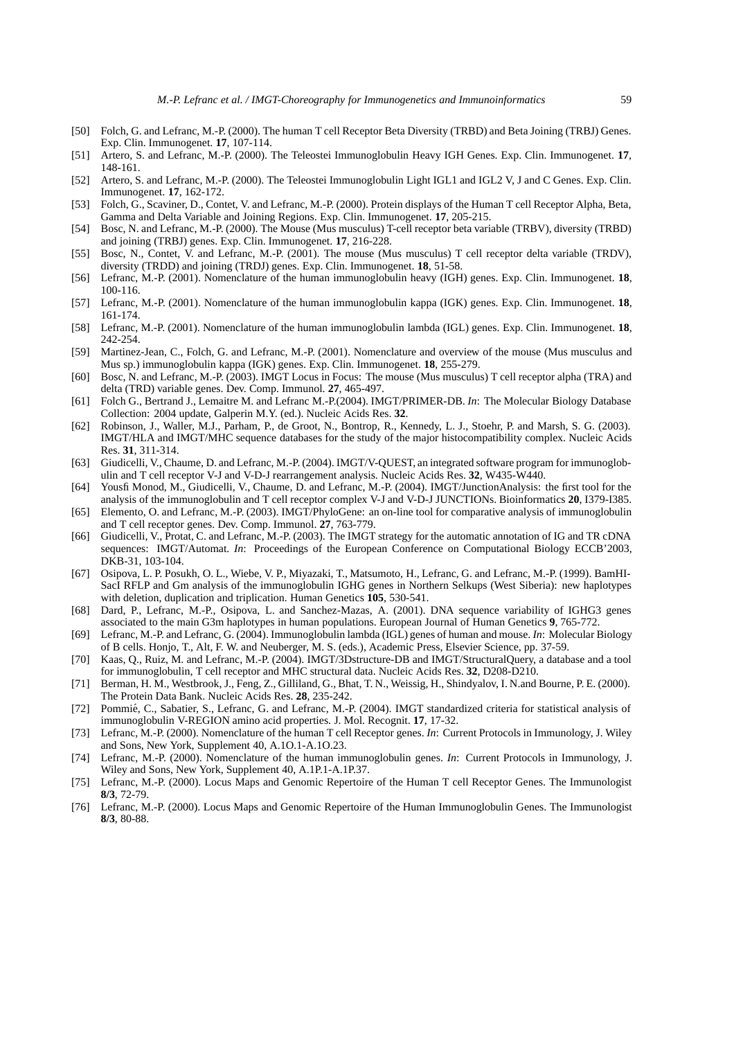- [50] Folch, G. and Lefranc, M.-P. (2000). The human T cell Receptor Beta Diversity (TRBD) and Beta Joining (TRBJ) Genes. Exp. Clin. Immunogenet. **17**, 107-114.
- [51] Artero, S. and Lefranc, M.-P. (2000). The Teleostei Immunoglobulin Heavy IGH Genes. Exp. Clin. Immunogenet. **17**, 148-161.
- [52] Artero, S. and Lefranc, M.-P. (2000). The Teleostei Immunoglobulin Light IGL1 and IGL2 V, J and C Genes. Exp. Clin. Immunogenet. **17**, 162-172.
- [53] Folch, G., Scaviner, D., Contet, V. and Lefranc, M.-P. (2000). Protein displays of the Human T cell Receptor Alpha, Beta, Gamma and Delta Variable and Joining Regions. Exp. Clin. Immunogenet. **17**, 205-215.
- [54] Bosc, N. and Lefranc, M.-P. (2000). The Mouse (Mus musculus) T-cell receptor beta variable (TRBV), diversity (TRBD) and joining (TRBJ) genes. Exp. Clin. Immunogenet. **17**, 216-228.
- [55] Bosc, N., Contet, V. and Lefranc, M.-P. (2001). The mouse (Mus musculus) T cell receptor delta variable (TRDV), diversity (TRDD) and joining (TRDJ) genes. Exp. Clin. Immunogenet. **18**, 51-58.
- [56] Lefranc, M.-P. (2001). Nomenclature of the human immunoglobulin heavy (IGH) genes. Exp. Clin. Immunogenet. **18**, 100-116.
- [57] Lefranc, M.-P. (2001). Nomenclature of the human immunoglobulin kappa (IGK) genes. Exp. Clin. Immunogenet. **18**, 161-174.
- [58] Lefranc, M.-P. (2001). Nomenclature of the human immunoglobulin lambda (IGL) genes. Exp. Clin. Immunogenet. **18**, 242-254.
- [59] Martinez-Jean, C., Folch, G. and Lefranc, M.-P. (2001). Nomenclature and overview of the mouse (Mus musculus and Mus sp.) immunoglobulin kappa (IGK) genes. Exp. Clin. Immunogenet. **18**, 255-279.
- [60] Bosc, N. and Lefranc, M.-P. (2003). IMGT Locus in Focus: The mouse (Mus musculus) T cell receptor alpha (TRA) and delta (TRD) variable genes. Dev. Comp. Immunol. **27**, 465-497.
- [61] Folch G., Bertrand J., Lemaitre M. and Lefranc M.-P.(2004). IMGT/PRIMER-DB. *In*: The Molecular Biology Database Collection: 2004 update, Galperin M.Y. (ed.). Nucleic Acids Res. **32**.
- [62] Robinson, J., Waller, M.J., Parham, P., de Groot, N., Bontrop, R., Kennedy, L. J., Stoehr, P. and Marsh, S. G. (2003). IMGT/HLA and IMGT/MHC sequence databases for the study of the major histocompatibility complex. Nucleic Acids Res. **31**, 311-314.
- [63] Giudicelli, V., Chaume, D. and Lefranc, M.-P. (2004). IMGT/V-QUEST, an integrated software program for immunoglobulin and T cell receptor V-J and V-D-J rearrangement analysis. Nucleic Acids Res. **32**, W435-W440.
- [64] Yousfi Monod, M., Giudicelli, V., Chaume, D. and Lefranc, M.-P. (2004). IMGT/JunctionAnalysis: the first tool for the analysis of the immunoglobulin and T cell receptor complex V-J and V-D-J JUNCTIONs. Bioinformatics **20**, I379-I385.
- [65] Elemento, O. and Lefranc, M.-P. (2003). IMGT/PhyloGene: an on-line tool for comparative analysis of immunoglobulin and T cell receptor genes. Dev. Comp. Immunol. **27**, 763-779.
- [66] Giudicelli, V., Protat, C. and Lefranc, M.-P. (2003). The IMGT strategy for the automatic annotation of IG and TR cDNA sequences: IMGT/Automat. *In*: Proceedings of the European Conference on Computational Biology ECCB'2003, DKB-31, 103-104.
- [67] Osipova, L. P. Posukh, O. L., Wiebe, V. P., Miyazaki, T., Matsumoto, H., Lefranc, G. and Lefranc, M.-P. (1999). BamHI-SacI RFLP and Gm analysis of the immunoglobulin IGHG genes in Northern Selkups (West Siberia): new haplotypes with deletion, duplication and triplication. Human Genetics **105**, 530-541.
- [68] Dard, P., Lefranc, M.-P., Osipova, L. and Sanchez-Mazas, A. (2001). DNA sequence variability of IGHG3 genes associated to the main G3m haplotypes in human populations. European Journal of Human Genetics **9**, 765-772.
- [69] Lefranc, M.-P. and Lefranc, G. (2004). Immunoglobulin lambda (IGL) genes of human and mouse. *In*: Molecular Biology of B cells. Honjo, T., Alt, F. W. and Neuberger, M. S. (eds.), Academic Press, Elsevier Science, pp. 37-59.
- [70] Kaas, Q., Ruiz, M. and Lefranc, M.-P. (2004). IMGT/3Dstructure-DB and IMGT/StructuralQuery, a database and a tool for immunoglobulin, T cell receptor and MHC structural data. Nucleic Acids Res. **32**, D208-D210.
- [71] Berman, H. M., Westbrook, J., Feng, Z., Gilliland, G., Bhat, T. N., Weissig, H., Shindyalov, I. N.and Bourne, P. E. (2000). The Protein Data Bank. Nucleic Acids Res. **28**, 235-242.
- [72] Pommié, C., Sabatier, S., Lefranc, G. and Lefranc, M.-P. (2004). IMGT standardized criteria for statistical analysis of immunoglobulin V-REGION amino acid properties. J. Mol. Recognit. **17**, 17-32.
- [73] Lefranc, M.-P. (2000). Nomenclature of the human T cell Receptor genes. *In*: Current Protocols in Immunology, J. Wiley and Sons, New York, Supplement 40, A.1O.1-A.1O.23.
- [74] Lefranc, M.-P. (2000). Nomenclature of the human immunoglobulin genes. *In*: Current Protocols in Immunology, J. Wiley and Sons, New York, Supplement 40, A.1P.1-A.1P.37.
- [75] Lefranc, M.-P. (2000). Locus Maps and Genomic Repertoire of the Human T cell Receptor Genes. The Immunologist **8/3**, 72-79.
- [76] Lefranc, M.-P. (2000). Locus Maps and Genomic Repertoire of the Human Immunoglobulin Genes. The Immunologist **8/3**, 80-88.